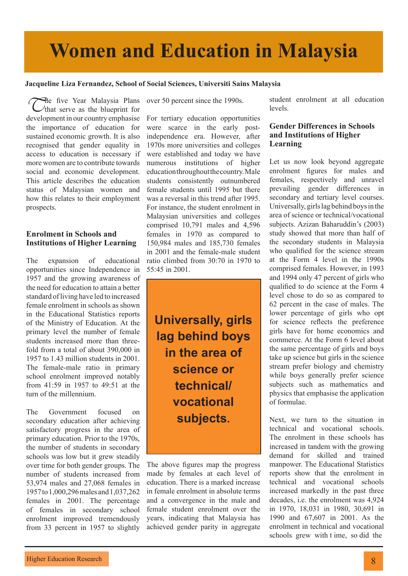# **Women and Education in Malaysia**

#### **Jacqueline Liza Fernandez, School of Social Sciences, Universiti Sains Malaysia**

The five Year Malaysia Plans<br>
that serve as the blueprint for development in our country emphasise the importance of education for sustained economic growth. It is also recognised that gender equality in access to education is necessary if more women are to contribute towards social and economic development. This article describes the education status of Malaysian women and how this relates to their employment prospects.

### **Enrolment in Schools and Institutions of Higher Learning**

The expansion of educational opportunities since Independence in 1957 and the growing awareness of the need for education to attain a better standard of living have led to increased female enrolment in schools as shown in the Educational Statistics reports of the Ministry of Education. At the primary level the number of female students increased more than threefold from a total of about 390,000 in 1957 to 1.43 million students in 2001. The female-male ratio in primary school enrolment improved notably from 41:59 in 1957 to 49:51 at the turn of the millennium.

The Government focused on secondary education after achieving satisfactory progress in the area of primary education. Prior to the 1970s, the number of students in secondary schools was low but it grew steadily over time for both gender groups. The number of students increased from 53,974 males and 27,068 females in 1957 to 1,000,296 males and 1,037,262 females in 2001. The percentage of females in secondary school enrolment improved tremendously from 33 percent in 1957 to slightly

over 50 percent since the 1990s.

For tertiary education opportunities were scarce in the early postindependence era. However, after 1970s more universities and colleges were established and today we have numerous institutions of higher education throughout the country. Male students consistently outnumbered female students until 1995 but there was a reversal in this trend after 1995. For instance, the student enrolment in Malaysian universities and colleges comprised 10,791 males and 4,596 females in 1970 as compared to 150,984 males and 185,730 females in 2001 and the female-male student ratio climbed from 30:70 in 1970 to 55:45 in 2001.

**Universally, girls lag behind boys in the area of science or technical/ vocational subjects.**

The above figures map the progress made by females at each level of education. There is a marked increase in female enrolment in absolute terms and a convergence in the male and female student enrolment over the years, indicating that Malaysia has achieved gender parity in aggregate student enrolment at all education levels.

### **Gender Differences in Schools and Institutions of Higher Learning**

Let us now look beyond aggregate enrolment figures for males and females, respectively and unravel prevailing gender differences in secondary and tertiary level courses. Universally, girls lag behind boys in the area of science or technical/vocational subjects. Azizan Baharuddin's (2003) study showed that more than half of the secondary students in Malaysia who qualified for the science stream at the Form 4 level in the 1990s comprised females. However, in 1993 and 1994 only 47 percent of girls who qualified to do science at the Form 4 level chose to do so as compared to 62 percent in the case of males. The lower percentage of girls who opt for science reflects the preference girls have for home economics and commerce. At the Form 6 level about the same percentage of girls and boys take up science but girls in the science stream prefer biology and chemistry while boys generally prefer science subjects such as mathematics and physics that emphasise the application of formulae.

Next, we turn to the situation in technical and vocational schools. The enrolment in these schools has increased in tandem with the growing demand for skilled and trained manpower. The Educational Statistics reports show that the enrolment in technical and vocational schools increased markedly in the past three decades, i.e. the enrolment was 4,924 in 1970, 18,031 in 1980, 30,691 in 1990 and 67,607 in 2001. As the enrolment in technical and vocational schools grew with t ime, so did the